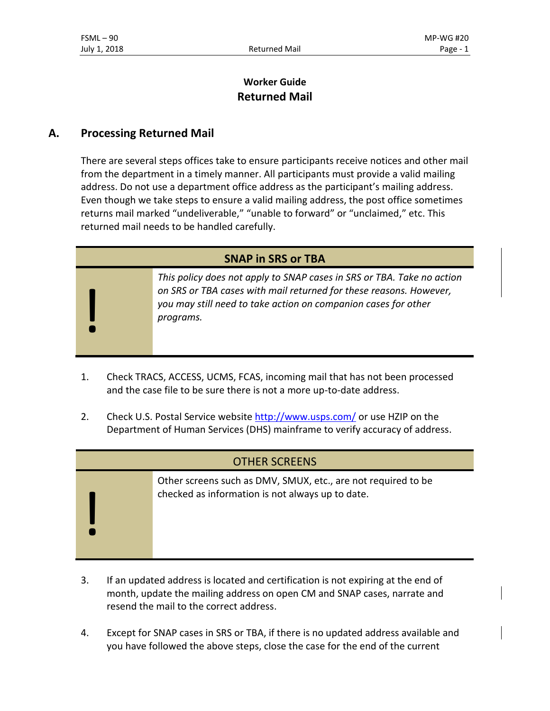!

# **Worker Guide Returned Mail**

## **A. Processing Returned Mail**

There are several steps offices take to ensure participants receive notices and other mail from the department in a timely manner. All participants must provide a valid mailing address. Do not use a department office address as the participant's mailing address. Even though we take steps to ensure a valid mailing address, the post office sometimes returns mail marked "undeliverable," "unable to forward" or "unclaimed," etc. This returned mail needs to be handled carefully.

| <b>SNAP in SRS or TBA</b> |                                                                                                                                                                                                                             |
|---------------------------|-----------------------------------------------------------------------------------------------------------------------------------------------------------------------------------------------------------------------------|
|                           | This policy does not apply to SNAP cases in SRS or TBA. Take no action<br>on SRS or TBA cases with mail returned for these reasons. However,<br>you may still need to take action on companion cases for other<br>programs. |
|                           |                                                                                                                                                                                                                             |

- 1. Check TRACS, ACCESS, UCMS, FCAS, incoming mail that has not been processed and the case file to be sure there is not a more up-to-date address.
- 2. Check U.S. Postal Service website<http://www.usps.com/> or use HZIP on the Department of Human Services (DHS) mainframe to verify accuracy of address.

### OTHER SCREENS

Other screens such as DMV, SMUX, etc., are not required to be checked as information is not always up to date.

- 3. If an updated address is located and certification is not expiring at the end of month, update the mailing address on open CM and SNAP cases, narrate and resend the mail to the correct address.
- 4. Except for SNAP cases in SRS or TBA, if there is no updated address available and you have followed the above steps, close the case for the end of the current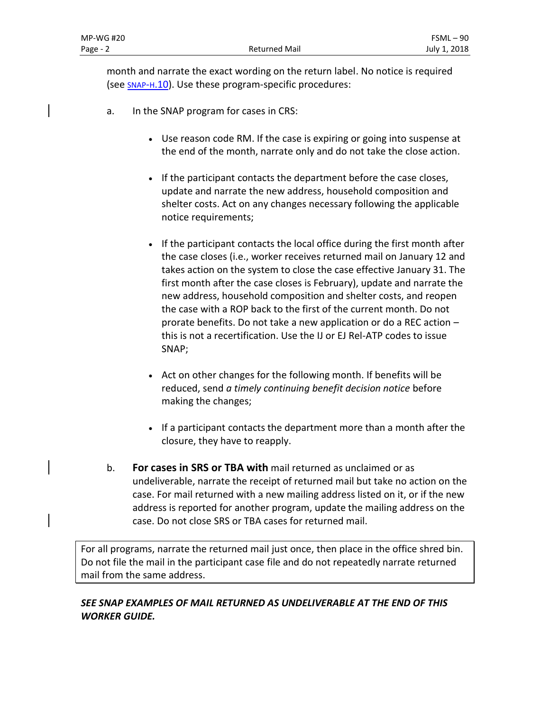month and narrate the exact wording on the return label. No notice is required (see SNAP-H[.10\)](http://apps.state.or.us/caf/fsm/06fs-h.htm#no_notice_req). Use these program-specific procedures:

- a. In the SNAP program for cases in CRS:
	- Use reason code RM. If the case is expiring or going into suspense at the end of the month, narrate only and do not take the close action.
	- If the participant contacts the department before the case closes, update and narrate the new address, household composition and shelter costs. Act on any changes necessary following the applicable notice requirements;
	- If the participant contacts the local office during the first month after the case closes (i.e., worker receives returned mail on January 12 and takes action on the system to close the case effective January 31. The first month after the case closes is February), update and narrate the new address, household composition and shelter costs, and reopen the case with a ROP back to the first of the current month. Do not prorate benefits. Do not take a new application or do a REC action – this is not a recertification. Use the IJ or EJ Rel-ATP codes to issue SNAP;
	- Act on other changes for the following month. If benefits will be reduced, send *a timely continuing benefit decision notice* before making the changes;
	- If a participant contacts the department more than a month after the closure, they have to reapply.
- b. **For cases in SRS or TBA with** mail returned as unclaimed or as undeliverable, narrate the receipt of returned mail but take no action on the case. For mail returned with a new mailing address listed on it, or if the new address is reported for another program, update the mailing address on the case. Do not close SRS or TBA cases for returned mail.

For all programs, narrate the returned mail just once, then place in the office shred bin. Do not file the mail in the participant case file and do not repeatedly narrate returned mail from the same address.

## *SEE SNAP EXAMPLES OF MAIL RETURNED AS UNDELIVERABLE AT THE END OF THIS WORKER GUIDE.*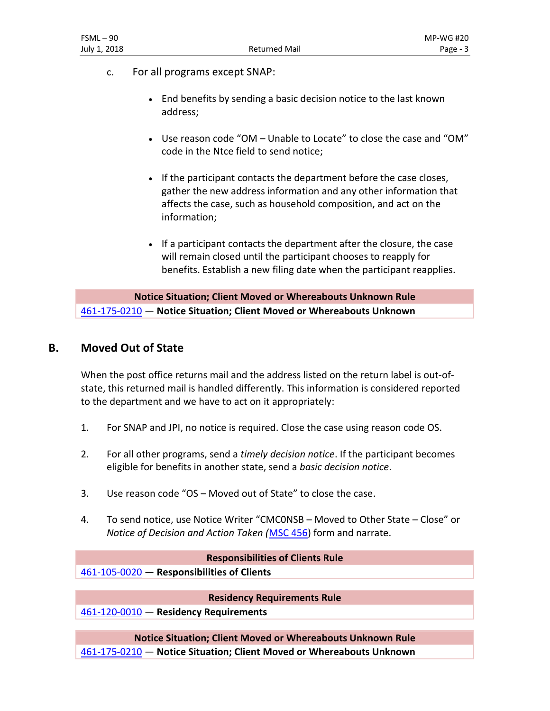- c. For all programs except SNAP:
	- End benefits by sending a basic decision notice to the last known address;
	- Use reason code "OM Unable to Locate" to close the case and "OM" code in the Ntce field to send notice;
	- If the participant contacts the department before the case closes, gather the new address information and any other information that affects the case, such as household composition, and act on the information;
	- If a participant contacts the department after the closure, the case will remain closed until the participant chooses to reapply for benefits. Establish a new filing date when the participant reapplies.

**Notice Situation; Client Moved or Whereabouts Unknown Rule** [461-175-0210](http://apps.state.or.us/caf/arm/B/461-175-0210.htm) — **Notice Situation; Client Moved or Whereabouts Unknown**

### **B. Moved Out of State**

When the post office returns mail and the address listed on the return label is out-ofstate, this returned mail is handled differently. This information is considered reported to the department and we have to act on it appropriately:

- 1. For SNAP and JPI, no notice is required. Close the case using reason code OS.
- 2. For all other programs, send a *timely decision notice*. If the participant becomes eligible for benefits in another state, send a *basic decision notice*.
- 3. Use reason code "OS Moved out of State" to close the case.
- 4. To send notice, use Notice Writer "CMC0NSB Moved to Other State Close" or *Notice of Decision and Action Taken (*[MSC 456\)](https://apps.state.or.us/cf1/DHSforms/Forms/Served/DE0456.pdf) form and narrate.

#### **Responsibilities of Clients Rule**

[461-105-0020](http://apps.state.or.us/caf/arm/A/461-105-0020.htm) — **Responsibilities of Clients**

### **Residency Requirements Rule**

[461-120-0010](http://apps.state.or.us/caf/arm/A/461-120-0010.htm) — **Residency Requirements**

**Notice Situation; Client Moved or Whereabouts Unknown Rule** [461-175-0210](http://apps.state.or.us/caf/arm/B/461-175-0210.htm) — **Notice Situation; Client Moved or Whereabouts Unknown**